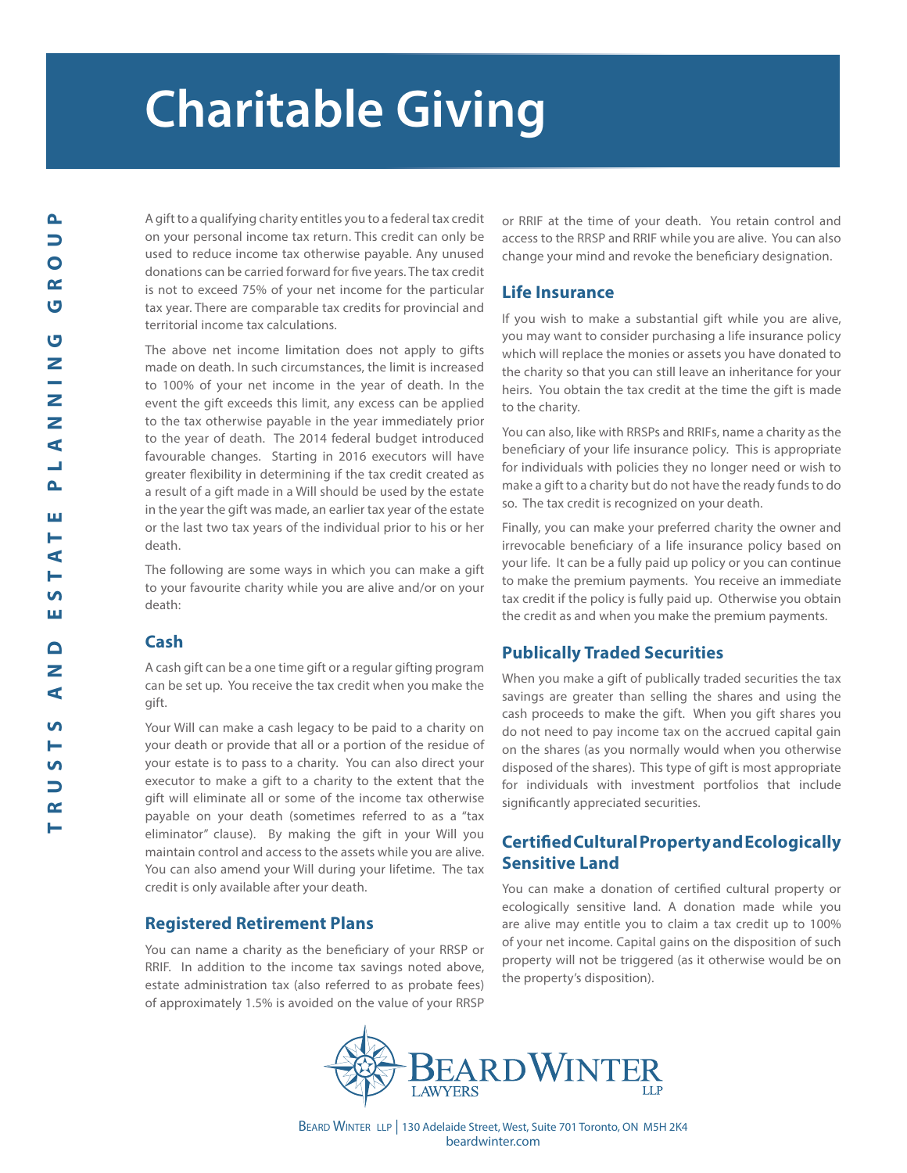# **Charitable Giving**

A gift to a qualifying charity entitles you to a federal tax credit on your personal income tax return. This credit can only be used to reduce income tax otherwise payable. Any unused donations can be carried forward for five years. The tax credit is not to exceed 75% of your net income for the particular tax year. There are comparable tax credits for provincial and territorial income tax calculations.

The above net income limitation does not apply to gifts made on death. In such circumstances, the limit is increased to 100% of your net income in the year of death. In the event the gift exceeds this limit, any excess can be applied to the tax otherwise payable in the year immediately prior to the year of death. The 2014 federal budget introduced favourable changes. Starting in 2016 executors will have greater flexibility in determining if the tax credit created as a result of a gift made in a Will should be used by the estate in the year the gift was made, an earlier tax year of the estate or the last two tax years of the individual prior to his or her death.

The following are some ways in which you can make a gift to your favourite charity while you are alive and/or on your death:

## **Cash**

A cash gift can be a one time gift or a regular gifting program can be set up. You receive the tax credit when you make the gift.

Your Will can make a cash legacy to be paid to a charity on your death or provide that all or a portion of the residue of your estate is to pass to a charity. You can also direct your executor to make a gift to a charity to the extent that the gift will eliminate all or some of the income tax otherwise payable on your death (sometimes referred to as a "tax eliminator" clause). By making the gift in your Will you maintain control and access to the assets while you are alive. You can also amend your Will during your lifetime. The tax credit is only available after your death.

# **Registered Retirement Plans**

You can name a charity as the beneficiary of your RRSP or RRIF. In addition to the income tax savings noted above, estate administration tax (also referred to as probate fees) of approximately 1.5% is avoided on the value of your RRSP

or RRIF at the time of your death. You retain control and access to the RRSP and RRIF while you are alive. You can also change your mind and revoke the beneficiary designation.

## **Life Insurance**

If you wish to make a substantial gift while you are alive, you may want to consider purchasing a life insurance policy which will replace the monies or assets you have donated to the charity so that you can still leave an inheritance for your heirs. You obtain the tax credit at the time the gift is made to the charity.

You can also, like with RRSPs and RRIFs, name a charity as the beneficiary of your life insurance policy. This is appropriate for individuals with policies they no longer need or wish to make a gift to a charity but do not have the ready funds to do so. The tax credit is recognized on your death.

Finally, you can make your preferred charity the owner and irrevocable beneficiary of a life insurance policy based on your life. It can be a fully paid up policy or you can continue to make the premium payments. You receive an immediate tax credit if the policy is fully paid up. Otherwise you obtain the credit as and when you make the premium payments.

# **Publically Traded Securities**

When you make a gift of publically traded securities the tax savings are greater than selling the shares and using the cash proceeds to make the gift. When you gift shares you do not need to pay income tax on the accrued capital gain on the shares (as you normally would when you otherwise disposed of the shares). This type of gift is most appropriate for individuals with investment portfolios that include significantly appreciated securities.

# **Certified Cultural Property and Ecologically Sensitive Land**

You can make a donation of certified cultural property or ecologically sensitive land. A donation made while you are alive may entitle you to claim a tax credit up to 100% of your net income. Capital gains on the disposition of such property will not be triggered (as it otherwise would be on the property's disposition).



BEARD WINTER LLP | 130 Adelaide Street, West, Suite 701 Toronto, ON M5H 2K4 beardwinter.com